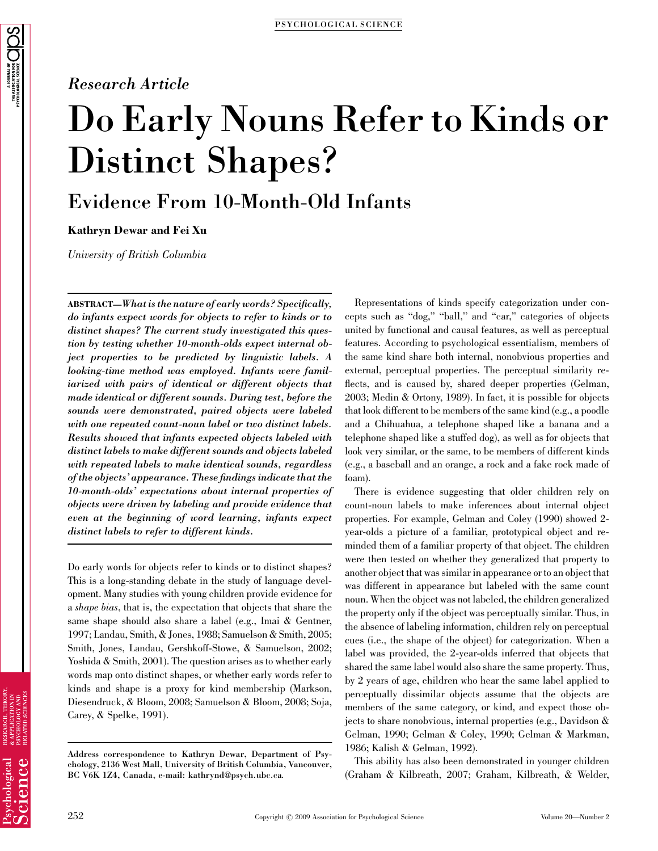### Research Article

# Do Early Nouns Refer to Kinds or Distinct Shapes?

## Evidence From 10-Month-Old Infants

Kathryn Dewar and Fei Xu

University of British Columbia

ABSTRACT—What is the nature of early words? Specifically, do infants expect words for objects to refer to kinds or to distinct shapes? The current study investigated this question by testing whether 10-month-olds expect internal object properties to be predicted by linguistic labels. A looking-time method was employed. Infants were familiarized with pairs of identical or different objects that made identical or different sounds. During test, before the sounds were demonstrated, paired objects were labeled with one repeated count-noun label or two distinct labels. Results showed that infants expected objects labeled with distinct labels to make different sounds and objects labeled with repeated labels to make identical sounds, regardless of the objects' appearance. These findings indicate that the 10-month-olds' expectations about internal properties of objects were driven by labeling and provide evidence that even at the beginning of word learning, infants expect distinct labels to refer to different kinds.

Do early words for objects refer to kinds or to distinct shapes? This is a long-standing debate in the study of language development. Many studies with young children provide evidence for a shape bias, that is, the expectation that objects that share the same shape should also share a label (e.g., Imai & Gentner, 1997; Landau, Smith, & Jones, 1988; Samuelson & Smith, 2005; Smith, Jones, Landau, Gershkoff-Stowe, & Samuelson, 2002; Yoshida & Smith, 2001). The question arises as to whether early words map onto distinct shapes, or whether early words refer to kinds and shape is a proxy for kind membership (Markson, Diesendruck, & Bloom, 2008; Samuelson & Bloom, 2008; Soja, Carey, & Spelke, 1991).

Address correspondence to Kathryn Dewar, Department of Psychology, 2136 West Mall, University of British Columbia, Vancouver, BC V6K 1Z4, Canada, e-mail: kathrynd@psych.ubc.ca.

Representations of kinds specify categorization under concepts such as "dog," "ball," and "car," categories of objects united by functional and causal features, as well as perceptual features. According to psychological essentialism, members of the same kind share both internal, nonobvious properties and external, perceptual properties. The perceptual similarity reflects, and is caused by, shared deeper properties (Gelman, 2003; Medin & Ortony, 1989). In fact, it is possible for objects that look different to be members of the same kind (e.g., a poodle and a Chihuahua, a telephone shaped like a banana and a telephone shaped like a stuffed dog), as well as for objects that look very similar, or the same, to be members of different kinds (e.g., a baseball and an orange, a rock and a fake rock made of foam).

There is evidence suggesting that older children rely on count-noun labels to make inferences about internal object properties. For example, Gelman and Coley (1990) showed 2 year-olds a picture of a familiar, prototypical object and reminded them of a familiar property of that object. The children were then tested on whether they generalized that property to another object that was similar in appearance or to an object that was different in appearance but labeled with the same count noun. When the object was not labeled, the children generalized the property only if the object was perceptually similar. Thus, in the absence of labeling information, children rely on perceptual cues (i.e., the shape of the object) for categorization. When a label was provided, the 2-year-olds inferred that objects that shared the same label would also share the same property. Thus, by 2 years of age, children who hear the same label applied to perceptually dissimilar objects assume that the objects are members of the same category, or kind, and expect those objects to share nonobvious, internal properties (e.g., Davidson & Gelman, 1990; Gelman & Coley, 1990; Gelman & Markman, 1986; Kalish & Gelman, 1992).

This ability has also been demonstrated in younger children (Graham & Kilbreath, 2007; Graham, Kilbreath, & Welder,

vchological cience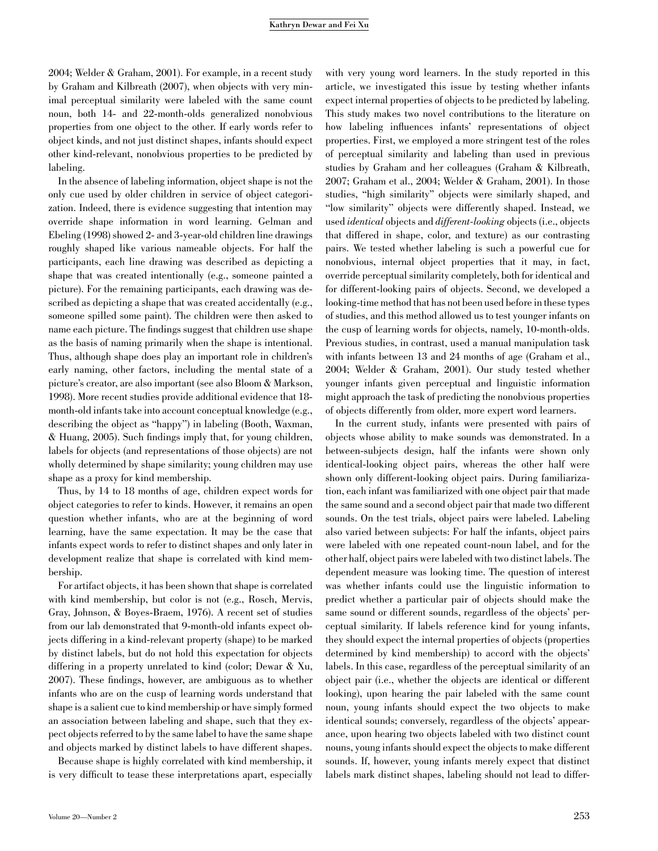#### Kathryn Dewar and Fei Xu

2004; Welder & Graham, 2001). For example, in a recent study by Graham and Kilbreath (2007), when objects with very minimal perceptual similarity were labeled with the same count noun, both 14- and 22-month-olds generalized nonobvious properties from one object to the other. If early words refer to object kinds, and not just distinct shapes, infants should expect other kind-relevant, nonobvious properties to be predicted by labeling.

In the absence of labeling information, object shape is not the only cue used by older children in service of object categorization. Indeed, there is evidence suggesting that intention may override shape information in word learning. Gelman and Ebeling (1998) showed 2- and 3-year-old children line drawings roughly shaped like various nameable objects. For half the participants, each line drawing was described as depicting a shape that was created intentionally (e.g., someone painted a picture). For the remaining participants, each drawing was described as depicting a shape that was created accidentally (e.g., someone spilled some paint). The children were then asked to name each picture. The findings suggest that children use shape as the basis of naming primarily when the shape is intentional. Thus, although shape does play an important role in children's early naming, other factors, including the mental state of a picture's creator, are also important (see also Bloom & Markson, 1998). More recent studies provide additional evidence that 18 month-old infants take into account conceptual knowledge (e.g., describing the object as ''happy'') in labeling (Booth, Waxman, & Huang, 2005). Such findings imply that, for young children, labels for objects (and representations of those objects) are not wholly determined by shape similarity; young children may use shape as a proxy for kind membership.

Thus, by 14 to 18 months of age, children expect words for object categories to refer to kinds. However, it remains an open question whether infants, who are at the beginning of word learning, have the same expectation. It may be the case that infants expect words to refer to distinct shapes and only later in development realize that shape is correlated with kind membership.

For artifact objects, it has been shown that shape is correlated with kind membership, but color is not (e.g., Rosch, Mervis, Gray, Johnson, & Boyes-Braem, 1976). A recent set of studies from our lab demonstrated that 9-month-old infants expect objects differing in a kind-relevant property (shape) to be marked by distinct labels, but do not hold this expectation for objects differing in a property unrelated to kind (color; Dewar & Xu, 2007). These findings, however, are ambiguous as to whether infants who are on the cusp of learning words understand that shape is a salient cue to kind membership or have simply formed an association between labeling and shape, such that they expect objects referred to by the same label to have the same shape and objects marked by distinct labels to have different shapes.

Because shape is highly correlated with kind membership, it is very difficult to tease these interpretations apart, especially

with very young word learners. In the study reported in this article, we investigated this issue by testing whether infants expect internal properties of objects to be predicted by labeling. This study makes two novel contributions to the literature on how labeling influences infants' representations of object properties. First, we employed a more stringent test of the roles of perceptual similarity and labeling than used in previous studies by Graham and her colleagues (Graham & Kilbreath, 2007; Graham et al., 2004; Welder & Graham, 2001). In those studies, ''high similarity'' objects were similarly shaped, and "low similarity" objects were differently shaped. Instead, we used identical objects and different-looking objects (i.e., objects that differed in shape, color, and texture) as our contrasting pairs. We tested whether labeling is such a powerful cue for nonobvious, internal object properties that it may, in fact, override perceptual similarity completely, both for identical and for different-looking pairs of objects. Second, we developed a looking-time method that has not been used before in these types of studies, and this method allowed us to test younger infants on the cusp of learning words for objects, namely, 10-month-olds. Previous studies, in contrast, used a manual manipulation task with infants between 13 and 24 months of age (Graham et al., 2004; Welder & Graham, 2001). Our study tested whether younger infants given perceptual and linguistic information might approach the task of predicting the nonobvious properties of objects differently from older, more expert word learners.

In the current study, infants were presented with pairs of objects whose ability to make sounds was demonstrated. In a between-subjects design, half the infants were shown only identical-looking object pairs, whereas the other half were shown only different-looking object pairs. During familiarization, each infant was familiarized with one object pair that made the same sound and a second object pair that made two different sounds. On the test trials, object pairs were labeled. Labeling also varied between subjects: For half the infants, object pairs were labeled with one repeated count-noun label, and for the other half, object pairs were labeled with two distinct labels. The dependent measure was looking time. The question of interest was whether infants could use the linguistic information to predict whether a particular pair of objects should make the same sound or different sounds, regardless of the objects' perceptual similarity. If labels reference kind for young infants, they should expect the internal properties of objects (properties determined by kind membership) to accord with the objects' labels. In this case, regardless of the perceptual similarity of an object pair (i.e., whether the objects are identical or different looking), upon hearing the pair labeled with the same count noun, young infants should expect the two objects to make identical sounds; conversely, regardless of the objects' appearance, upon hearing two objects labeled with two distinct count nouns, young infants should expect the objects to make different sounds. If, however, young infants merely expect that distinct labels mark distinct shapes, labeling should not lead to differ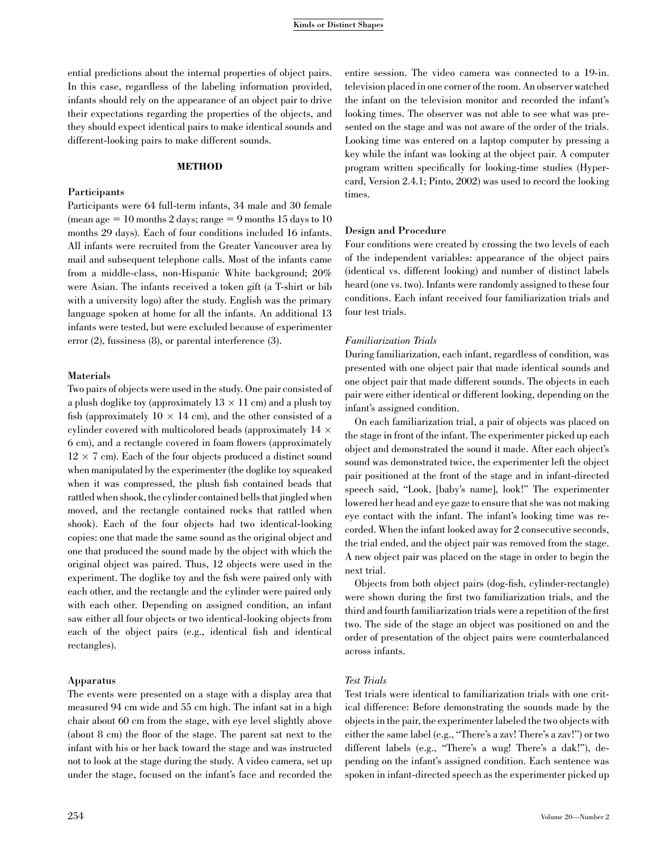ential predictions about the internal properties of object pairs. In this case, regardless of the labeling information provided, infants should rely on the appearance of an object pair to drive their expectations regarding the properties of the objects, and they should expect identical pairs to make identical sounds and different-looking pairs to make different sounds.

#### METHOD

#### Participants

Participants were 64 full-term infants, 34 male and 30 female (mean age  $= 10$  months 2 days; range  $= 9$  months 15 days to 10 months 29 days). Each of four conditions included 16 infants. All infants were recruited from the Greater Vancouver area by mail and subsequent telephone calls. Most of the infants came from a middle-class, non-Hispanic White background; 20% were Asian. The infants received a token gift (a T-shirt or bib with a university logo) after the study. English was the primary language spoken at home for all the infants. An additional 13 infants were tested, but were excluded because of experimenter error (2), fussiness (8), or parental interference (3).

#### **Materials**

Two pairs of objects were used in the study. One pair consisted of a plush doglike toy (approximately  $13 \times 11$  cm) and a plush toy fish (approximately  $10 \times 14$  cm), and the other consisted of a cylinder covered with multicolored beads (approximately  $14 \times$ 6 cm), and a rectangle covered in foam flowers (approximately  $12 \times 7$  cm). Each of the four objects produced a distinct sound when manipulated by the experimenter (the doglike toy squeaked when it was compressed, the plush fish contained beads that rattled when shook, the cylinder contained bells that jingled when moved, and the rectangle contained rocks that rattled when shook). Each of the four objects had two identical-looking copies: one that made the same sound as the original object and one that produced the sound made by the object with which the original object was paired. Thus, 12 objects were used in the experiment. The doglike toy and the fish were paired only with each other, and the rectangle and the cylinder were paired only with each other. Depending on assigned condition, an infant saw either all four objects or two identical-looking objects from each of the object pairs (e.g., identical fish and identical rectangles).

#### Apparatus

The events were presented on a stage with a display area that measured 94 cm wide and 55 cm high. The infant sat in a high chair about 60 cm from the stage, with eye level slightly above (about 8 cm) the floor of the stage. The parent sat next to the infant with his or her back toward the stage and was instructed not to look at the stage during the study. A video camera, set up under the stage, focused on the infant's face and recorded the

entire session. The video camera was connected to a 19-in. television placed in one corner of the room. An observer watched the infant on the television monitor and recorded the infant's looking times. The observer was not able to see what was presented on the stage and was not aware of the order of the trials. Looking time was entered on a laptop computer by pressing a key while the infant was looking at the object pair. A computer program written specifically for looking-time studies (Hypercard, Version 2.4.1; Pinto, 2002) was used to record the looking times.

#### Design and Procedure

Four conditions were created by crossing the two levels of each of the independent variables: appearance of the object pairs (identical vs. different looking) and number of distinct labels heard (one vs. two). Infants were randomly assigned to these four conditions. Each infant received four familiarization trials and four test trials.

#### Familiarization Trials

During familiarization, each infant, regardless of condition, was presented with one object pair that made identical sounds and one object pair that made different sounds. The objects in each pair were either identical or different looking, depending on the infant's assigned condition.

On each familiarization trial, a pair of objects was placed on the stage in front of the infant. The experimenter picked up each object and demonstrated the sound it made. After each object's sound was demonstrated twice, the experimenter left the object pair positioned at the front of the stage and in infant-directed speech said, ''Look, [baby's name], look!'' The experimenter lowered her head and eye gaze to ensure that she was not making eye contact with the infant. The infant's looking time was recorded. When the infant looked away for 2 consecutive seconds, the trial ended, and the object pair was removed from the stage. A new object pair was placed on the stage in order to begin the next trial.

Objects from both object pairs (dog-fish, cylinder-rectangle) were shown during the first two familiarization trials, and the third and fourth familiarization trials were a repetition of the first two. The side of the stage an object was positioned on and the order of presentation of the object pairs were counterbalanced across infants.

#### Test Trials

Test trials were identical to familiarization trials with one critical difference: Before demonstrating the sounds made by the objects in the pair, the experimenter labeled the two objects with either the same label (e.g., ''There's a zav! There's a zav!'') or two different labels (e.g., ''There's a wug! There's a dak!''), depending on the infant's assigned condition. Each sentence was spoken in infant-directed speech as the experimenter picked up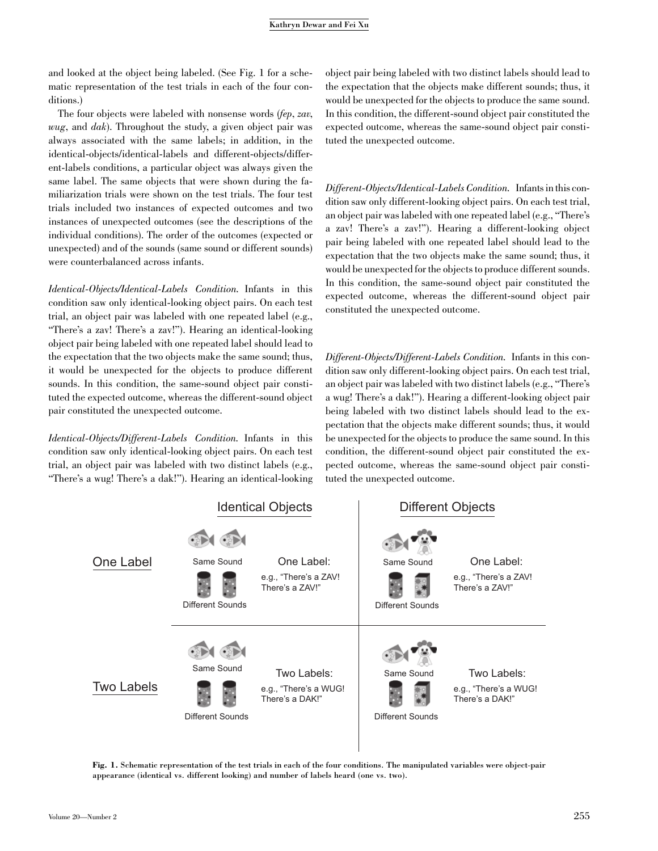and looked at the object being labeled. (See Fig. 1 for a schematic representation of the test trials in each of the four conditions.)

The four objects were labeled with nonsense words (fep, zav, *wug*, and  $dak$ . Throughout the study, a given object pair was always associated with the same labels; in addition, in the identical-objects/identical-labels and different-objects/different-labels conditions, a particular object was always given the same label. The same objects that were shown during the familiarization trials were shown on the test trials. The four test trials included two instances of expected outcomes and two instances of unexpected outcomes (see the descriptions of the individual conditions). The order of the outcomes (expected or unexpected) and of the sounds (same sound or different sounds) were counterbalanced across infants.

Identical-Objects/Identical-Labels Condition. Infants in this condition saw only identical-looking object pairs. On each test trial, an object pair was labeled with one repeated label (e.g., ''There's a zav! There's a zav!''). Hearing an identical-looking object pair being labeled with one repeated label should lead to the expectation that the two objects make the same sound; thus, it would be unexpected for the objects to produce different sounds. In this condition, the same-sound object pair constituted the expected outcome, whereas the different-sound object pair constituted the unexpected outcome.

Identical-Objects/Different-Labels Condition. Infants in this condition saw only identical-looking object pairs. On each test trial, an object pair was labeled with two distinct labels (e.g., ''There's a wug! There's a dak!''). Hearing an identical-looking object pair being labeled with two distinct labels should lead to the expectation that the objects make different sounds; thus, it would be unexpected for the objects to produce the same sound. In this condition, the different-sound object pair constituted the expected outcome, whereas the same-sound object pair constituted the unexpected outcome.

Different-Objects/Identical-Labels Condition. Infants in this condition saw only different-looking object pairs. On each test trial, an object pair was labeled with one repeated label (e.g., ''There's a zav! There's a zav!''). Hearing a different-looking object pair being labeled with one repeated label should lead to the expectation that the two objects make the same sound; thus, it would be unexpected for the objects to produce different sounds. In this condition, the same-sound object pair constituted the expected outcome, whereas the different-sound object pair constituted the unexpected outcome.

Different-Objects/Different-Labels Condition. Infants in this condition saw only different-looking object pairs. On each test trial, an object pair was labeled with two distinct labels (e.g., ''There's a wug! There's a dak!''). Hearing a different-looking object pair being labeled with two distinct labels should lead to the expectation that the objects make different sounds; thus, it would be unexpected for the objects to produce the same sound. In this condition, the different-sound object pair constituted the expected outcome, whereas the same-sound object pair constituted the unexpected outcome.



Fig. 1. Schematic representation of the test trials in each of the four conditions. The manipulated variables were object-pair appearance (identical vs. different looking) and number of labels heard (one vs. two).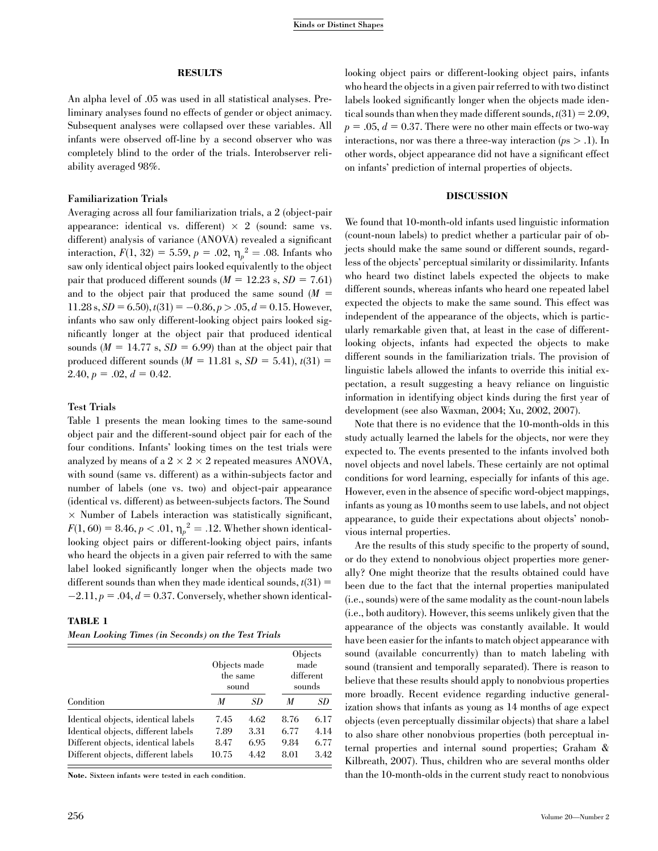#### RESULTS

An alpha level of .05 was used in all statistical analyses. Preliminary analyses found no effects of gender or object animacy. Subsequent analyses were collapsed over these variables. All infants were observed off-line by a second observer who was completely blind to the order of the trials. Interobserver reliability averaged 98%.

#### Familiarization Trials

Averaging across all four familiarization trials, a 2 (object-pair appearance: identical vs. different)  $\times$  2 (sound: same vs. different) analysis of variance (ANOVA) revealed a significant interaction,  $F(1, 32) = 5.59$ ,  $p = .02$ ,  $\eta_p^2 = .08$ . Infants who saw only identical object pairs looked equivalently to the object pair that produced different sounds ( $M = 12.23$  s,  $SD = 7.61$ ) and to the object pair that produced the same sound  $(M =$  $11.28$  s,  $SD = 6.50$ ,  $t(31) = -0.86$ ,  $p > 0.05$ ,  $d = 0.15$ . However, infants who saw only different-looking object pairs looked significantly longer at the object pair that produced identical sounds ( $M = 14.77$  s,  $SD = 6.99$ ) than at the object pair that produced different sounds ( $M = 11.81$  s,  $SD = 5.41$ ),  $t(31) =$ 2.40,  $p = .02$ ,  $d = 0.42$ .

#### Test Trials

Table 1 presents the mean looking times to the same-sound object pair and the different-sound object pair for each of the four conditions. Infants' looking times on the test trials were analyzed by means of a 2  $\times$  2  $\times$  2 repeated measures ANOVA, with sound (same vs. different) as a within-subjects factor and number of labels (one vs. two) and object-pair appearance (identical vs. different) as between-subjects factors. The Sound - Number of Labels interaction was statistically significant,  $F(1, 60) = 8.46, p < .01, \eta_p^2 = .12$ . Whether shown identicallooking object pairs or different-looking object pairs, infants who heard the objects in a given pair referred to with the same label looked significantly longer when the objects made two different sounds than when they made identical sounds,  $t(31)$  =  $-2.11, p = .04, d = 0.37$ . Conversely, whether shown identical-

#### TABLE 1

|  |  |  |  |  | Mean Looking Times (in Seconds) on the Test Trials |  |  |  |  |  |
|--|--|--|--|--|----------------------------------------------------|--|--|--|--|--|
|--|--|--|--|--|----------------------------------------------------|--|--|--|--|--|

|                                     | Objects made<br>the same<br>sound |      | Objects<br>made<br>different<br>sounds |      |
|-------------------------------------|-----------------------------------|------|----------------------------------------|------|
| Condition                           | M                                 | SD   | M                                      | SD   |
| Identical objects, identical labels | 7.45                              | 4.62 | 8.76                                   | 6.17 |
| Identical objects, different labels | 7.89                              | 3.31 | 6.77                                   | 4.14 |
| Different objects, identical labels | 8.47                              | 6.95 | 9.84                                   | 6.77 |
| Different objects, different labels | 10.75                             | 4.42 | 8.01                                   | 3.42 |

Note. Sixteen infants were tested in each condition.

looking object pairs or different-looking object pairs, infants who heard the objects in a given pair referred to with two distinct labels looked significantly longer when the objects made identical sounds than when they made different sounds,  $t(31) = 2.09$ ,  $p = .05$ ,  $d = 0.37$ . There were no other main effects or two-way interactions, nor was there a three-way interaction ( $p_s > .1$ ). In other words, object appearance did not have a significant effect on infants' prediction of internal properties of objects.

#### DISCUSSION

We found that 10-month-old infants used linguistic information (count-noun labels) to predict whether a particular pair of objects should make the same sound or different sounds, regardless of the objects' perceptual similarity or dissimilarity. Infants who heard two distinct labels expected the objects to make different sounds, whereas infants who heard one repeated label expected the objects to make the same sound. This effect was independent of the appearance of the objects, which is particularly remarkable given that, at least in the case of differentlooking objects, infants had expected the objects to make different sounds in the familiarization trials. The provision of linguistic labels allowed the infants to override this initial expectation, a result suggesting a heavy reliance on linguistic information in identifying object kinds during the first year of development (see also Waxman, 2004; Xu, 2002, 2007).

Note that there is no evidence that the 10-month-olds in this study actually learned the labels for the objects, nor were they expected to. The events presented to the infants involved both novel objects and novel labels. These certainly are not optimal conditions for word learning, especially for infants of this age. However, even in the absence of specific word-object mappings, infants as young as 10 months seem to use labels, and not object appearance, to guide their expectations about objects' nonobvious internal properties.

Are the results of this study specific to the property of sound, or do they extend to nonobvious object properties more generally? One might theorize that the results obtained could have been due to the fact that the internal properties manipulated (i.e., sounds) were of the same modality as the count-noun labels (i.e., both auditory). However, this seems unlikely given that the appearance of the objects was constantly available. It would have been easier for the infants to match object appearance with sound (available concurrently) than to match labeling with sound (transient and temporally separated). There is reason to believe that these results should apply to nonobvious properties more broadly. Recent evidence regarding inductive generalization shows that infants as young as 14 months of age expect objects (even perceptually dissimilar objects) that share a label to also share other nonobvious properties (both perceptual internal properties and internal sound properties; Graham & Kilbreath, 2007). Thus, children who are several months older than the 10-month-olds in the current study react to nonobvious